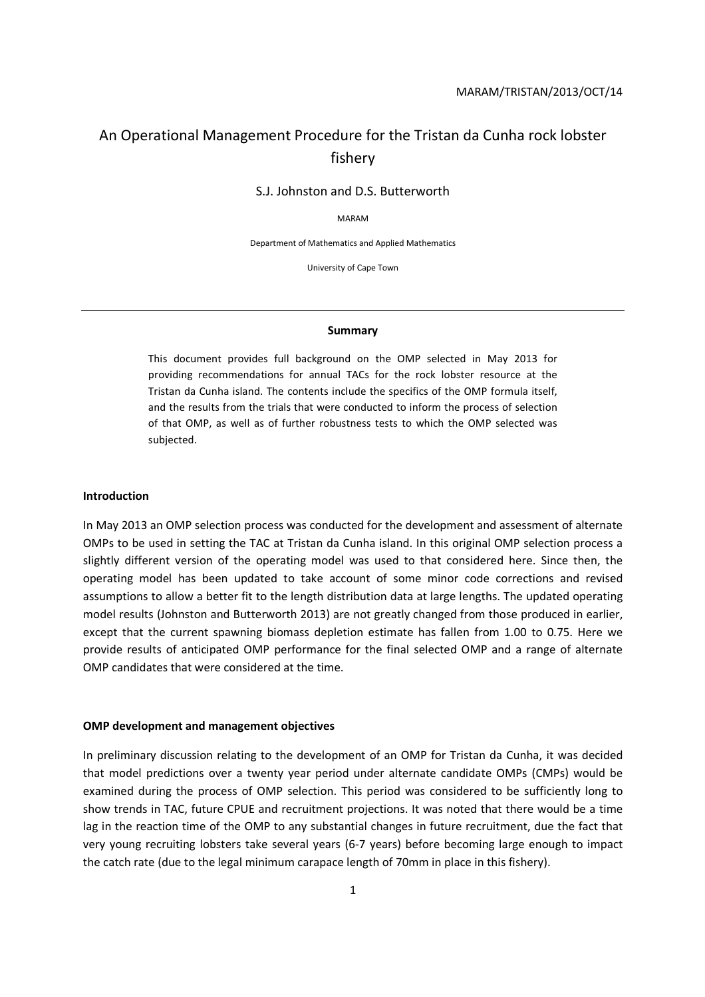# An Operational Management Procedure for the Tristan da Cunha rock lobster fishery

S.J. Johnston and D.S. Butterworth

MARAM

Department of Mathematics and Applied Mathematics

University of Cape Town

#### **Summary**

This document provides full background on the OMP selected in May 2013 for providing recommendations for annual TACs for the rock lobster resource at the Tristan da Cunha island. The contents include the specifics of the OMP formula itself, and the results from the trials that were conducted to inform the process of selection of that OMP, as well as of further robustness tests to which the OMP selected was subjected.

#### **Introduction**

In May 2013 an OMP selection process was conducted for the development and assessment of alternate OMPs to be used in setting the TAC at Tristan da Cunha island. In this original OMP selection process a slightly different version of the operating model was used to that considered here. Since then, the operating model has been updated to take account of some minor code corrections and revised assumptions to allow a better fit to the length distribution data at large lengths. The updated operating model results (Johnston and Butterworth 2013) are not greatly changed from those produced in earlier, except that the current spawning biomass depletion estimate has fallen from 1.00 to 0.75. Here we provide results of anticipated OMP performance for the final selected OMP and a range of alternate OMP candidates that were considered at the time.

#### **OMP development and management objectives**

In preliminary discussion relating to the development of an OMP for Tristan da Cunha, it was decided that model predictions over a twenty year period under alternate candidate OMPs (CMPs) would be examined during the process of OMP selection. This period was considered to be sufficiently long to show trends in TAC, future CPUE and recruitment projections. It was noted that there would be a time lag in the reaction time of the OMP to any substantial changes in future recruitment, due the fact that very young recruiting lobsters take several years (6-7 years) before becoming large enough to impact the catch rate (due to the legal minimum carapace length of 70mm in place in this fishery).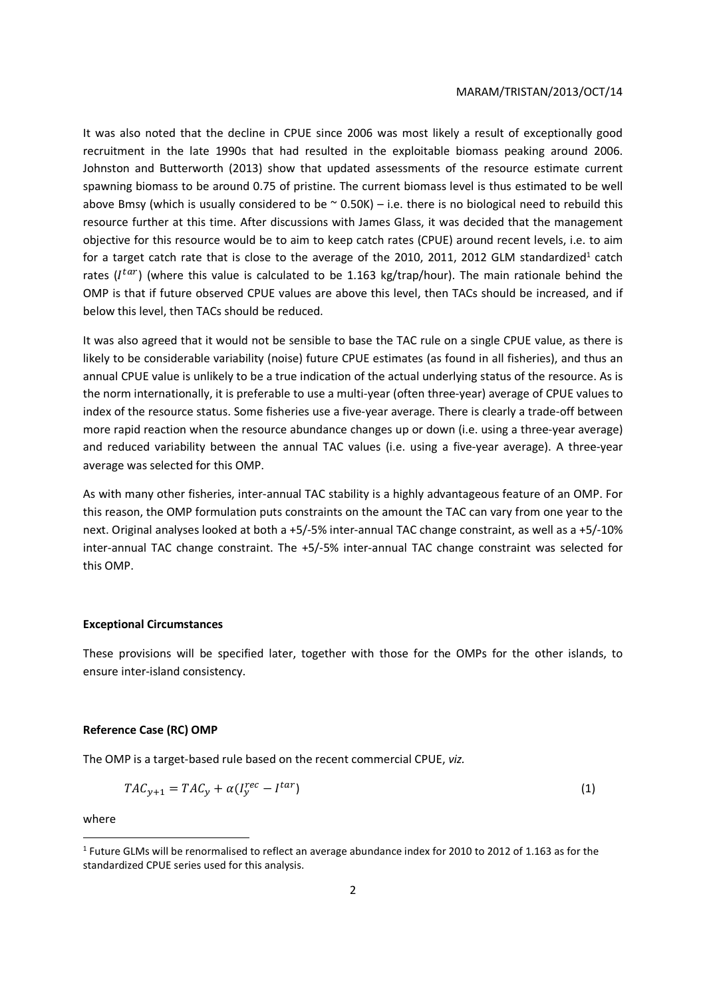It was also noted that the decline in CPUE since 2006 was most likely a result of exceptionally good recruitment in the late 1990s that had resulted in the exploitable biomass peaking around 2006. Johnston and Butterworth (2013) show that updated assessments of the resource estimate current spawning biomass to be around 0.75 of pristine. The current biomass level is thus estimated to be well above Bmsy (which is usually considered to be  $\sim$  0.50K) – i.e. there is no biological need to rebuild this resource further at this time. After discussions with James Glass, it was decided that the management objective for this resource would be to aim to keep catch rates (CPUE) around recent levels, i.e. to aim for a target catch rate that is close to the average of the 2010, 2011, 2012 GLM standardized<sup>1</sup> catch rates ( $I^{tar}$ ) (where this value is calculated to be 1.163 kg/trap/hour). The main rationale behind the OMP is that if future observed CPUE values are above this level, then TACs should be increased, and if below this level, then TACs should be reduced.

It was also agreed that it would not be sensible to base the TAC rule on a single CPUE value, as there is likely to be considerable variability (noise) future CPUE estimates (as found in all fisheries), and thus an annual CPUE value is unlikely to be a true indication of the actual underlying status of the resource. As is the norm internationally, it is preferable to use a multi-year (often three-year) average of CPUE values to index of the resource status. Some fisheries use a five-year average. There is clearly a trade-off between more rapid reaction when the resource abundance changes up or down (i.e. using a three-year average) and reduced variability between the annual TAC values (i.e. using a five-year average). A three-year average was selected for this OMP.

As with many other fisheries, inter-annual TAC stability is a highly advantageous feature of an OMP. For this reason, the OMP formulation puts constraints on the amount the TAC can vary from one year to the next. Original analyses looked at both a +5/-5% inter-annual TAC change constraint, as well as a +5/-10% inter-annual TAC change constraint. The +5/-5% inter-annual TAC change constraint was selected for this OMP.

### **Exceptional Circumstances**

These provisions will be specified later, together with those for the OMPs for the other islands, to ensure inter-island consistency.

### **Reference Case (RC) OMP**

The OMP is a target-based rule based on the recent commercial CPUE, *viz.*

$$
TAC_{y+1} = TAC_y + \alpha(I_y^{rec} - I^{tar})
$$
\n<sup>(1)</sup>

where

<u>.</u>

<sup>&</sup>lt;sup>1</sup> Future GLMs will be renormalised to reflect an average abundance index for 2010 to 2012 of 1.163 as for the standardized CPUE series used for this analysis.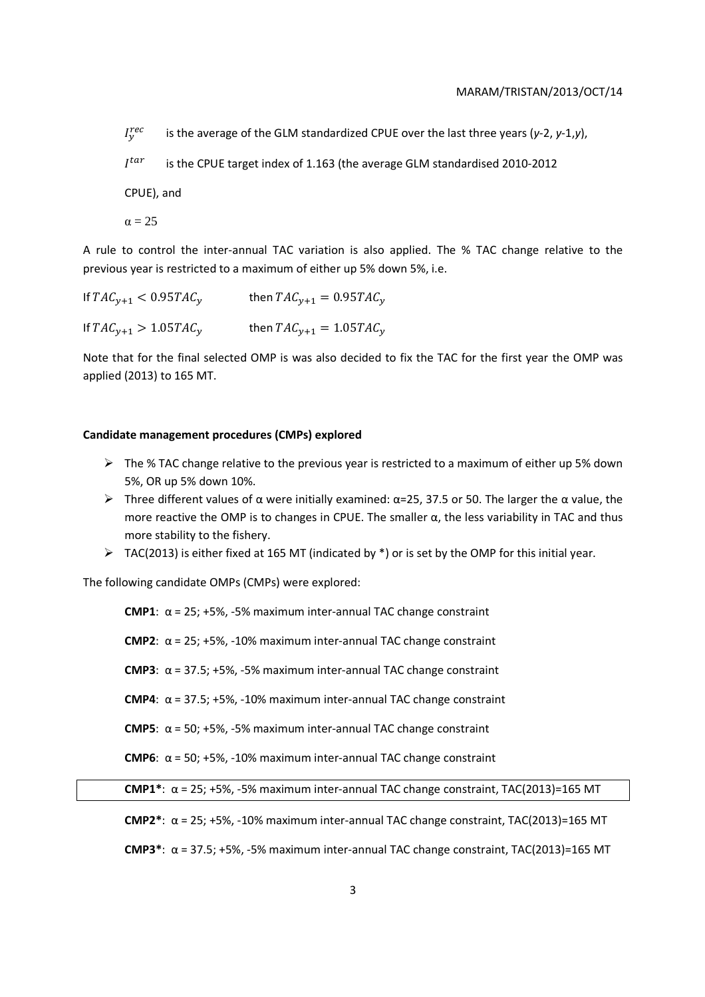$I^{rec}_v$ is the average of the GLM standardized CPUE over the last three years (*y*-2, *y*-1,*y*),

 $I^t$ is the CPUE target index of 1.163 (the average GLM standardised 2010-2012

CPUE), and

 $\alpha = 25$ 

A rule to control the inter-annual TAC variation is also applied. The % TAC change relative to the previous year is restricted to a maximum of either up 5% down 5%, i.e.

If  $TAC_{y+1} < 0.95TAC_y$  then  $TAC_{y+1} = 0.95TAC_y$ If  $TAC_{y+1} > 1.05TAC_y$  then  $TAC_{y+1} = 1.05TAC_y$ 

Note that for the final selected OMP is was also decided to fix the TAC for the first year the OMP was applied (2013) to 165 MT.

## **Candidate management procedures (CMPs) explored**

- $\triangleright$  The % TAC change relative to the previous year is restricted to a maximum of either up 5% down 5%, OR up 5% down 10%.
- $\triangleright$  Three different values of α were initially examined: α=25, 37.5 or 50. The larger the α value, the more reactive the OMP is to changes in CPUE. The smaller  $\alpha$ , the less variability in TAC and thus more stability to the fishery.
- $\triangleright$  TAC(2013) is either fixed at 165 MT (indicated by  $\ast$ ) or is set by the OMP for this initial year.

The following candidate OMPs (CMPs) were explored:

**CMP1**: α = 25; +5%, -5% maximum inter-annual TAC change constraint **CMP2**: α = 25; +5%, -10% maximum inter-annual TAC change constraint **CMP3**: α = 37.5; +5%, -5% maximum inter-annual TAC change constraint **CMP4**:  $\alpha$  = 37.5; +5%, -10% maximum inter-annual TAC change constraint **CMP5**:  $\alpha$  = 50; +5%, -5% maximum inter-annual TAC change constraint **CMP6**: α = 50; +5%, -10% maximum inter-annual TAC change constraint **CMP1\***: α = 25; +5%, -5% maximum inter-annual TAC change constraint, TAC(2013)=165 MT

**CMP2\***: α = 25; +5%, -10% maximum inter-annual TAC change constraint, TAC(2013)=165 MT

**CMP3\***: α = 37.5; +5%, -5% maximum inter-annual TAC change constraint, TAC(2013)=165 MT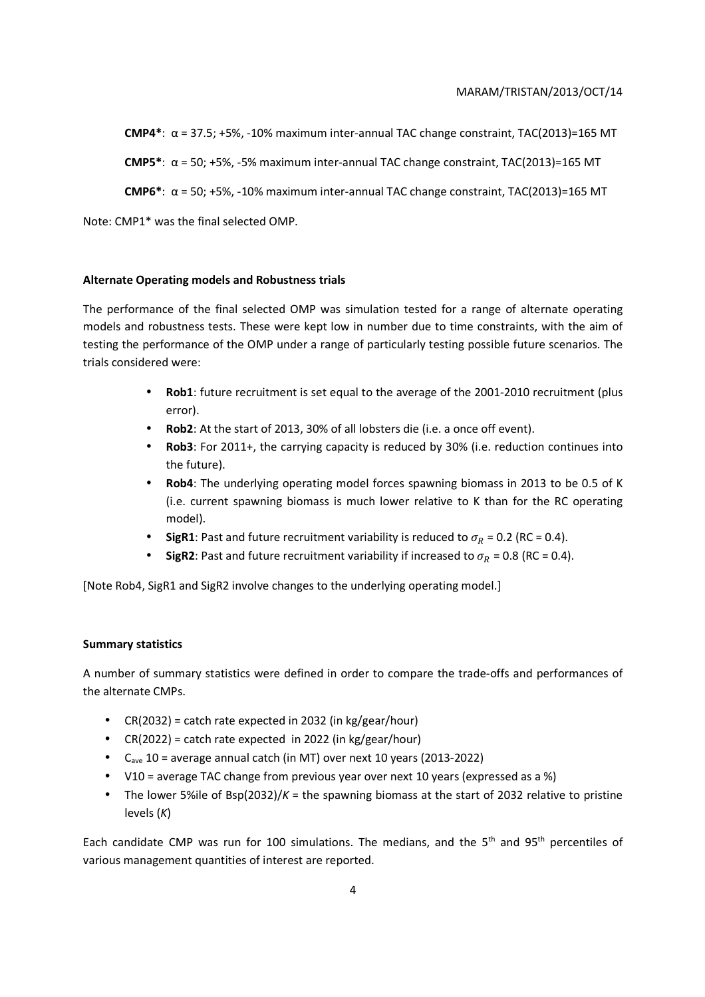**CMP4\***: α = 37.5; +5%, -10% maximum inter-annual TAC change constraint, TAC(2013)=165 MT

**CMP5\***: α = 50; +5%, -5% maximum inter-annual TAC change constraint, TAC(2013)=165 MT

**CMP6\***: α = 50; +5%, -10% maximum inter-annual TAC change constraint, TAC(2013)=165 MT

Note: CMP1\* was the final selected OMP.

## **Alternate Operating models and Robustness trials**

The performance of the final selected OMP was simulation tested for a range of alternate operating models and robustness tests. These were kept low in number due to time constraints, with the aim of testing the performance of the OMP under a range of particularly testing possible future scenarios. The trials considered were:

- **Rob1**: future recruitment is set equal to the average of the 2001-2010 recruitment (plus error).
- **Rob2**: At the start of 2013, 30% of all lobsters die (i.e. a once off event).
- **Rob3**: For 2011+, the carrying capacity is reduced by 30% (i.e. reduction continues into the future).
- **Rob4**: The underlying operating model forces spawning biomass in 2013 to be 0.5 of K (i.e. current spawning biomass is much lower relative to K than for the RC operating model).
- **SigR1**: Past and future recruitment variability is reduced to  $\sigma_R$  = 0.2 (RC = 0.4).
- **SigR2**: Past and future recruitment variability if increased to  $\sigma_R$  = 0.8 (RC = 0.4).

[Note Rob4, SigR1 and SigR2 involve changes to the underlying operating model.]

## **Summary statistics**

A number of summary statistics were defined in order to compare the trade-offs and performances of the alternate CMPs.

- $CR(2032) = catch rate expected in 2032 (in kg/year/hour)$
- CR(2022) = catch rate expected in 2022 (in kg/gear/hour)
- Cave 10 = average annual catch (in MT) over next 10 years (2013-2022)
- V10 = average TAC change from previous year over next 10 years (expressed as a %)
- The lower 5%ile of Bsp(2032)/*K* = the spawning biomass at the start of 2032 relative to pristine levels (*K*)

Each candidate CMP was run for 100 simulations. The medians, and the 5<sup>th</sup> and 95<sup>th</sup> percentiles of various management quantities of interest are reported.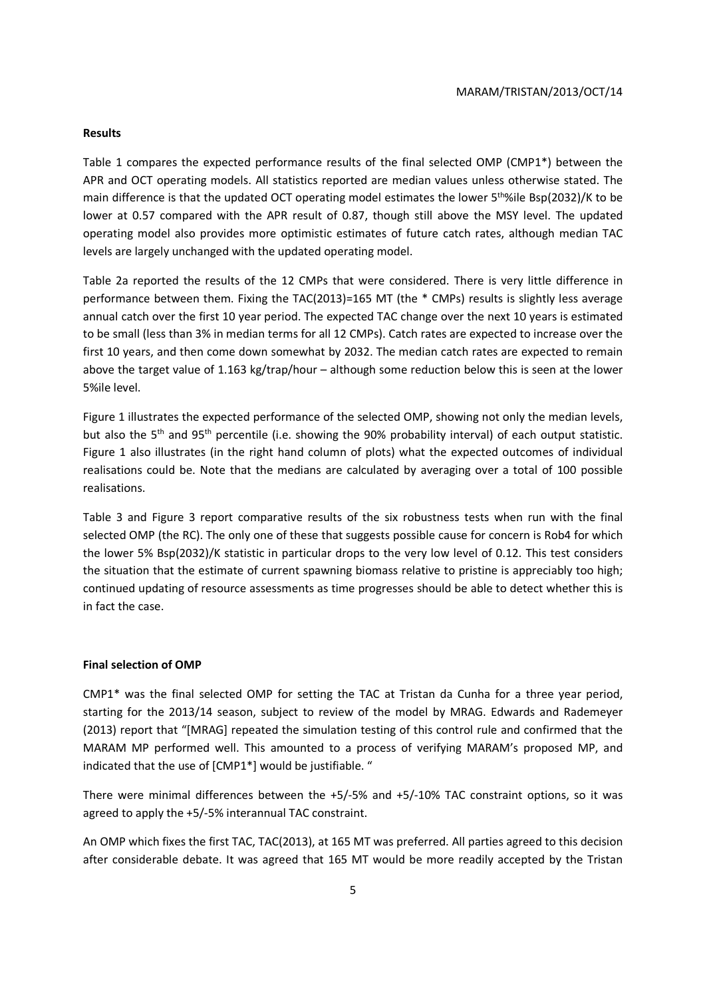#### **Results**

Table 1 compares the expected performance results of the final selected OMP (CMP1\*) between the APR and OCT operating models. All statistics reported are median values unless otherwise stated. The main difference is that the updated OCT operating model estimates the lower 5<sup>th</sup>%ile Bsp(2032)/K to be lower at 0.57 compared with the APR result of 0.87, though still above the MSY level. The updated operating model also provides more optimistic estimates of future catch rates, although median TAC levels are largely unchanged with the updated operating model.

Table 2a reported the results of the 12 CMPs that were considered. There is very little difference in performance between them. Fixing the TAC(2013)=165 MT (the \* CMPs) results is slightly less average annual catch over the first 10 year period. The expected TAC change over the next 10 years is estimated to be small (less than 3% in median terms for all 12 CMPs). Catch rates are expected to increase over the first 10 years, and then come down somewhat by 2032. The median catch rates are expected to remain above the target value of 1.163 kg/trap/hour – although some reduction below this is seen at the lower 5%ile level.

Figure 1 illustrates the expected performance of the selected OMP, showing not only the median levels, but also the 5<sup>th</sup> and 95<sup>th</sup> percentile (i.e. showing the 90% probability interval) of each output statistic. Figure 1 also illustrates (in the right hand column of plots) what the expected outcomes of individual realisations could be. Note that the medians are calculated by averaging over a total of 100 possible realisations.

Table 3 and Figure 3 report comparative results of the six robustness tests when run with the final selected OMP (the RC). The only one of these that suggests possible cause for concern is Rob4 for which the lower 5% Bsp(2032)/K statistic in particular drops to the very low level of 0.12. This test considers the situation that the estimate of current spawning biomass relative to pristine is appreciably too high; continued updating of resource assessments as time progresses should be able to detect whether this is in fact the case.

### **Final selection of OMP**

CMP1\* was the final selected OMP for setting the TAC at Tristan da Cunha for a three year period, starting for the 2013/14 season, subject to review of the model by MRAG. Edwards and Rademeyer (2013) report that "[MRAG] repeated the simulation testing of this control rule and confirmed that the MARAM MP performed well. This amounted to a process of verifying MARAM's proposed MP, and indicated that the use of [CMP1\*] would be justifiable. "

There were minimal differences between the +5/-5% and +5/-10% TAC constraint options, so it was agreed to apply the +5/-5% interannual TAC constraint.

An OMP which fixes the first TAC, TAC(2013), at 165 MT was preferred. All parties agreed to this decision after considerable debate. It was agreed that 165 MT would be more readily accepted by the Tristan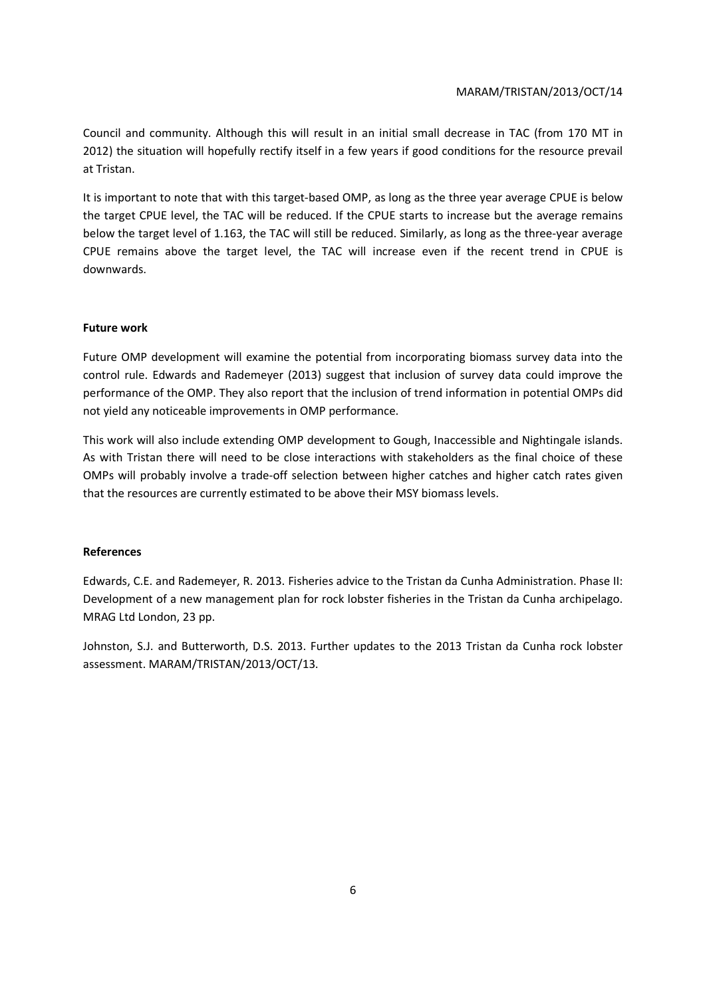Council and community. Although this will result in an initial small decrease in TAC (from 170 MT in 2012) the situation will hopefully rectify itself in a few years if good conditions for the resource prevail at Tristan.

It is important to note that with this target-based OMP, as long as the three year average CPUE is below the target CPUE level, the TAC will be reduced. If the CPUE starts to increase but the average remains below the target level of 1.163, the TAC will still be reduced. Similarly, as long as the three-year average CPUE remains above the target level, the TAC will increase even if the recent trend in CPUE is downwards.

## **Future work**

Future OMP development will examine the potential from incorporating biomass survey data into the control rule. Edwards and Rademeyer (2013) suggest that inclusion of survey data could improve the performance of the OMP. They also report that the inclusion of trend information in potential OMPs did not yield any noticeable improvements in OMP performance.

This work will also include extending OMP development to Gough, Inaccessible and Nightingale islands. As with Tristan there will need to be close interactions with stakeholders as the final choice of these OMPs will probably involve a trade-off selection between higher catches and higher catch rates given that the resources are currently estimated to be above their MSY biomass levels.

## **References**

Edwards, C.E. and Rademeyer, R. 2013. Fisheries advice to the Tristan da Cunha Administration. Phase II: Development of a new management plan for rock lobster fisheries in the Tristan da Cunha archipelago. MRAG Ltd London, 23 pp.

Johnston, S.J. and Butterworth, D.S. 2013. Further updates to the 2013 Tristan da Cunha rock lobster assessment. MARAM/TRISTAN/2013/OCT/13.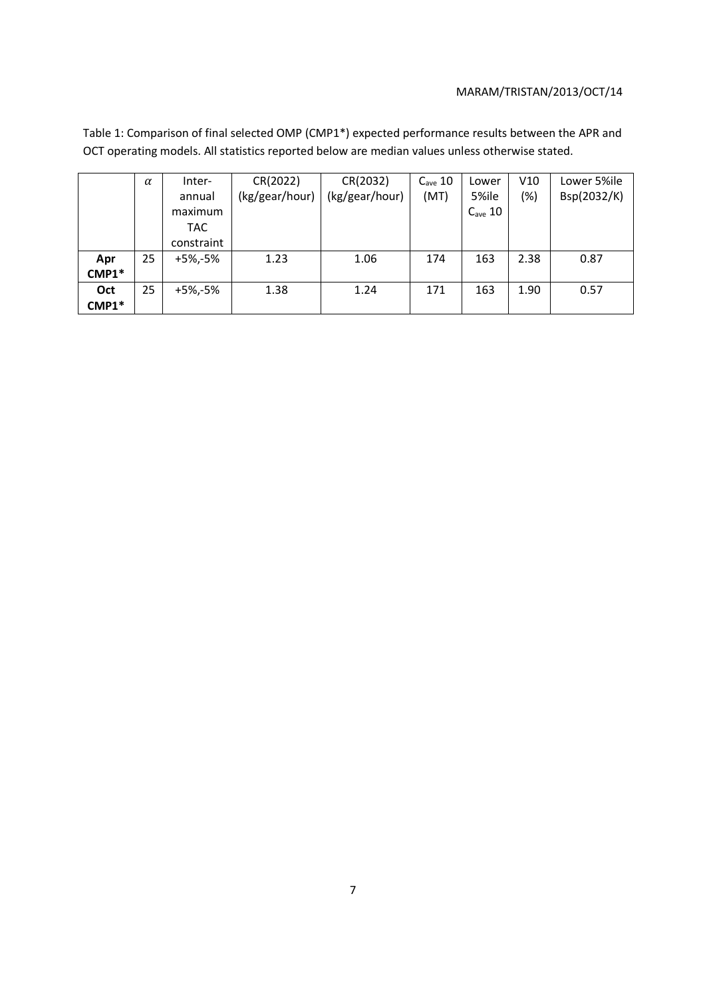Table 1: Comparison of final selected OMP (CMP1\*) expected performance results between the APR and OCT operating models. All statistics reported below are median values unless otherwise stated.

|       | $\alpha$ | Inter-     | CR(2022)       | CR(2032)       | $C_{\text{ave}}$ 10 | Lower               | V10  | Lower 5%ile |
|-------|----------|------------|----------------|----------------|---------------------|---------------------|------|-------------|
|       |          | annual     | (kg/gear/hour) | (kg/gear/hour) | (MT)                | 5%ile               | (%)  | Bsp(2032/K) |
|       |          | maximum    |                |                |                     | $C_{\text{ave}}$ 10 |      |             |
|       |          | TAC.       |                |                |                     |                     |      |             |
|       |          | constraint |                |                |                     |                     |      |             |
| Apr   | 25       | +5%,-5%    | 1.23           | 1.06           | 174                 | 163                 | 2.38 | 0.87        |
| CMP1* |          |            |                |                |                     |                     |      |             |
| Oct   | 25       | +5%,-5%    | 1.38           | 1.24           | 171                 | 163                 | 1.90 | 0.57        |
| CMP1* |          |            |                |                |                     |                     |      |             |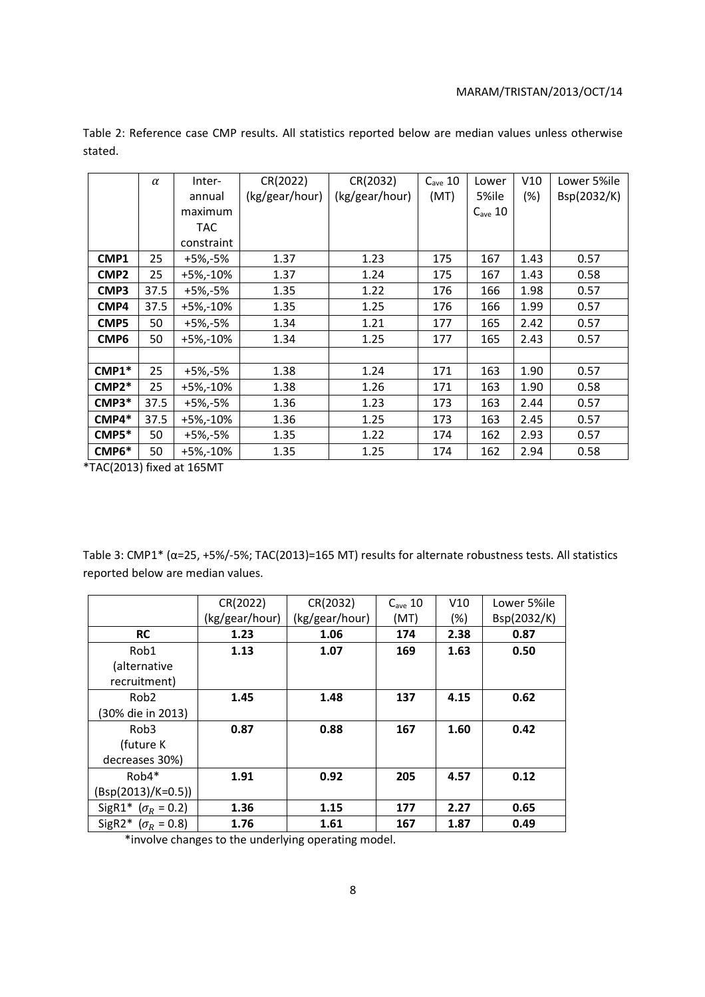|                  | $\alpha$ | Inter-       | CR(2022)       | CR(2032)       | $C_{\text{ave}}$ 10 | Lower               | V10  | Lower 5%ile |
|------------------|----------|--------------|----------------|----------------|---------------------|---------------------|------|-------------|
|                  |          | annual       | (kg/gear/hour) | (kg/gear/hour) | (MT)                | 5%ile               | (%)  | Bsp(2032/K) |
|                  |          | maximum      |                |                |                     | $C_{\text{ave}}$ 10 |      |             |
|                  |          | TAC.         |                |                |                     |                     |      |             |
|                  |          | constraint   |                |                |                     |                     |      |             |
| CMP1             | 25       | +5%,-5%      | 1.37           | 1.23           | 175                 | 167                 | 1.43 | 0.57        |
| CMP <sub>2</sub> | 25       | +5%,-10%     | 1.37           | 1.24           | 175                 | 167                 | 1.43 | 0.58        |
| CMP3             | 37.5     | +5%,-5%      | 1.35           | 1.22           | 176                 | 166                 | 1.98 | 0.57        |
| CMP4             | 37.5     | $+5\% -10\%$ | 1.35           | 1.25           | 176                 | 166                 | 1.99 | 0.57        |
| CMP <sub>5</sub> | 50       | +5%,-5%      | 1.34           | 1.21           | 177                 | 165                 | 2.42 | 0.57        |
| CMP <sub>6</sub> | 50       | $+5\% -10\%$ | 1.34           | 1.25           | 177                 | 165                 | 2.43 | 0.57        |
|                  |          |              |                |                |                     |                     |      |             |
| CMP1*            | 25       | $+5\%,-5\%$  | 1.38           | 1.24           | 171                 | 163                 | 1.90 | 0.57        |
| $CMP2*$          | 25       | $+5\% -10\%$ | 1.38           | 1.26           | 171                 | 163                 | 1.90 | 0.58        |
| $CMP3*$          | 37.5     | +5%,-5%      | 1.36           | 1.23           | 173                 | 163                 | 2.44 | 0.57        |
| $CMP4*$          | 37.5     | +5%,-10%     | 1.36           | 1.25           | 173                 | 163                 | 2.45 | 0.57        |
| $CMPS^*$         | 50       | +5%,-5%      | 1.35           | 1.22           | 174                 | 162                 | 2.93 | 0.57        |
| CMP6*            | 50       | +5%,-10%     | 1.35           | 1.25           | 174                 | 162                 | 2.94 | 0.58        |

Table 2: Reference case CMP results. All statistics reported below are median values unless otherwise stated.

\*TAC(2013) fixed at 165MT

Table 3: CMP1\* (α=25, +5%/-5%; TAC(2013)=165 MT) results for alternate robustness tests. All statistics reported below are median values.

|                            | CR(2022)       | CR(2032)       | $C_{\text{ave}}$ 10 | V10    | Lower 5%ile |
|----------------------------|----------------|----------------|---------------------|--------|-------------|
|                            | (kg/gear/hour) | (kg/gear/hour) | (MT)                | $(\%)$ | Bsp(2032/K) |
| <b>RC</b>                  | 1.23           | 1.06           | 174                 | 2.38   | 0.87        |
| Rob1                       | 1.13           | 1.07           | 169                 | 1.63   | 0.50        |
| (alternative               |                |                |                     |        |             |
| recruitment)               |                |                |                     |        |             |
| Rob <sub>2</sub>           | 1.45           | 1.48           | 137                 | 4.15   | 0.62        |
| (30% die in 2013)          |                |                |                     |        |             |
| Rob <sub>3</sub>           | 0.87           | 0.88           | 167                 | 1.60   | 0.42        |
| (future K                  |                |                |                     |        |             |
| decreases 30%)             |                |                |                     |        |             |
| $Rob4*$                    | 1.91           | 0.92           | 205                 | 4.57   | 0.12        |
| (Bsp(2013)/K=0.5))         |                |                |                     |        |             |
| SigR1* ( $\sigma_R$ = 0.2) | 1.36           | 1.15           | 177                 | 2.27   | 0.65        |
| SigR2* ( $\sigma_R$ = 0.8) | 1.76           | 1.61           | 167                 | 1.87   | 0.49        |

\*involve changes to the underlying operating model.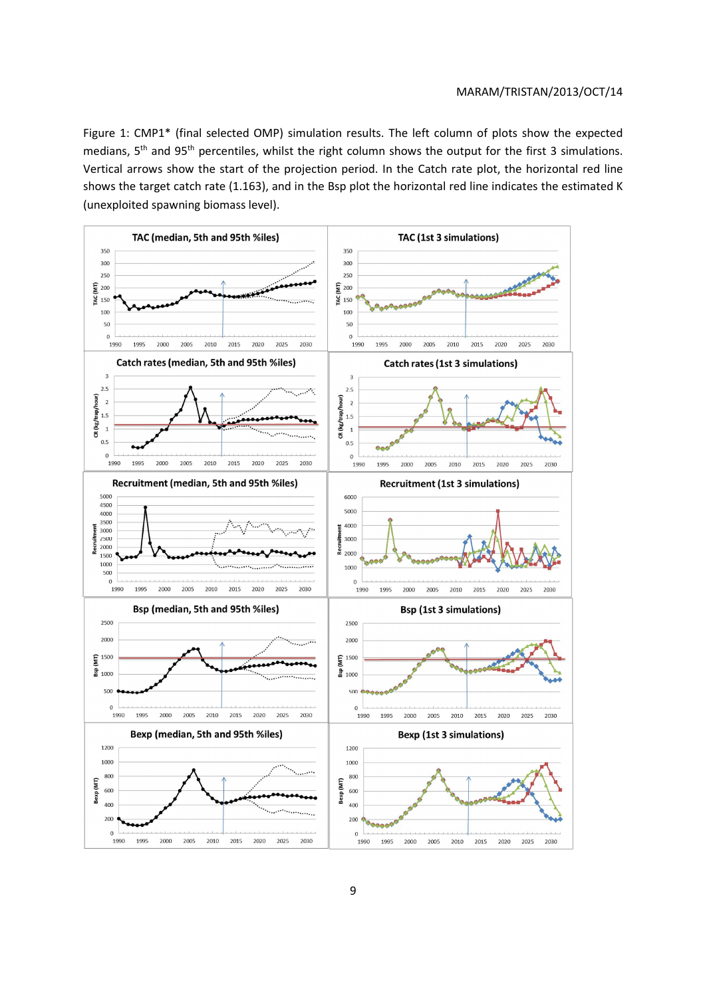Figure 1: CMP1\* (final selected OMP) simulation results. The left column of plots show the expected medians, 5<sup>th</sup> and 95<sup>th</sup> percentiles, whilst the right column shows the output for the first 3 simulations. Vertical arrows show the start of the projection period. In the Catch rate plot, the horizontal red line shows the target catch rate (1.163), and in the Bsp plot the horizontal red line indicates the estimated K (unexploited spawning biomass level).

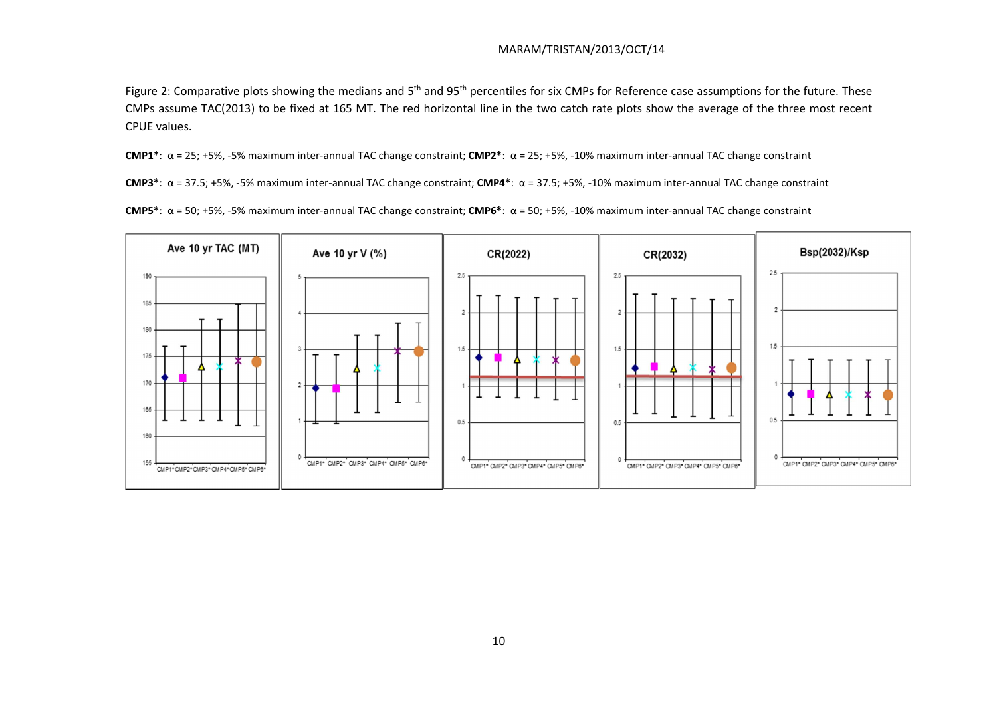Figure 2: Comparative plots showing the medians and 5<sup>th</sup> and 95<sup>th</sup> percentiles for six CMPs for Reference case assumptions for the future. These CMPs assume TAC(2013) to be fixed at 165 MT. The red horizontal line in the two catch rate plots show the average of the three most recent CPUE values.

**CMP1\***: α = 25; +5%, -5% maximum inter-annual TAC change constraint; **CMP2\***: α = 25; +5%, -10% maximum inter-annual TAC change constraint

**CMP3\***: α = 37.5; +5%, -5% maximum inter-annual TAC change constraint; **CMP4\***: α = 37.5; +5%, -10% maximum inter-annual TAC change constraint

**CMP5\***: α = 50; +5%, -5% maximum inter-annual TAC change constraint; **CMP6\***: α = 50; +5%, -10% maximum inter-annual TAC change constraint